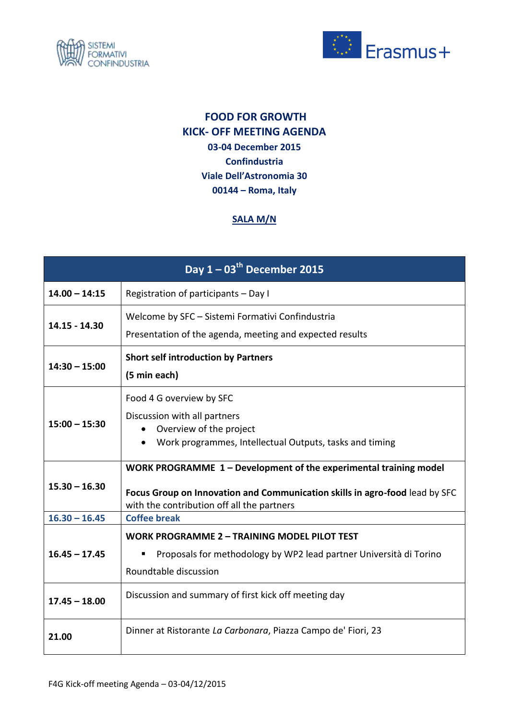



## **FOOD FOR GROWTH KICK- OFF MEETING AGENDA 03-04 December 2015 Confindustria Viale Dell'Astronomia 30 00144 – Roma, Italy**

## **SALA M/N**

| Day $1-03^{th}$ December 2015 |                                                                                                                                                                                                |
|-------------------------------|------------------------------------------------------------------------------------------------------------------------------------------------------------------------------------------------|
| $14.00 - 14:15$               | Registration of participants - Day I                                                                                                                                                           |
| 14.15 - 14.30                 | Welcome by SFC - Sistemi Formativi Confindustria<br>Presentation of the agenda, meeting and expected results                                                                                   |
| $14:30 - 15:00$               | <b>Short self introduction by Partners</b><br>(5 min each)                                                                                                                                     |
| $15:00 - 15:30$               | Food 4 G overview by SFC<br>Discussion with all partners<br>Overview of the project<br>Work programmes, Intellectual Outputs, tasks and timing                                                 |
| $15.30 - 16.30$               | WORK PROGRAMME 1 – Development of the experimental training model<br>Focus Group on Innovation and Communication skills in agro-food lead by SFC<br>with the contribution off all the partners |
| $16.30 - 16.45$               | <b>Coffee break</b><br><b>WORK PROGRAMME 2 - TRAINING MODEL PILOT TEST</b>                                                                                                                     |
| $16.45 - 17.45$               | Proposals for methodology by WP2 lead partner Università di Torino<br>Roundtable discussion                                                                                                    |
| $17.45 - 18.00$               | Discussion and summary of first kick off meeting day                                                                                                                                           |
| 21.00                         | Dinner at Ristorante La Carbonara, Piazza Campo de' Fiori, 23                                                                                                                                  |